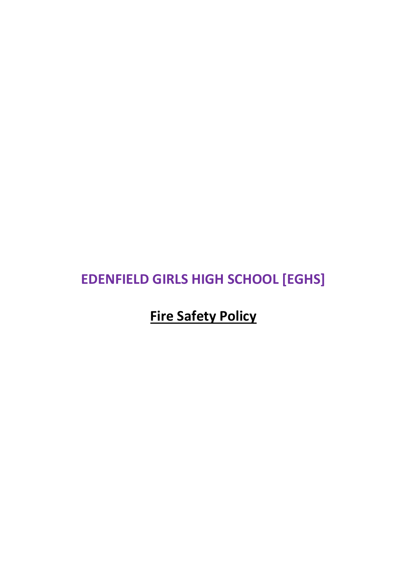# **EDENFIELD GIRLS HIGH SCHOOL [EGHS]**

# **Fire Safety Policy**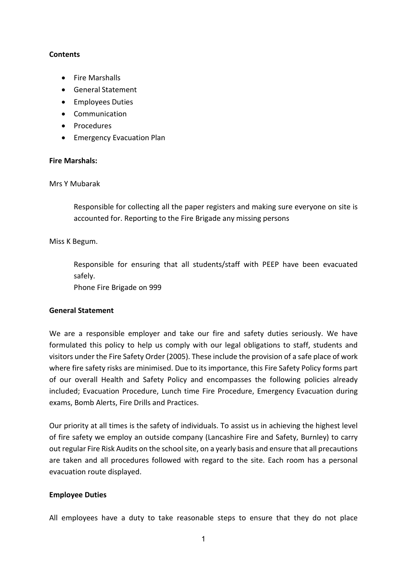### **Contents**

- Fire Marshalls
- General Statement
- Employees Duties
- Communication
- Procedures
- Emergency Evacuation Plan

### **Fire Marshals:**

### Mrs Y Mubarak

Responsible for collecting all the paper registers and making sure everyone on site is accounted for. Reporting to the Fire Brigade any missing persons

### Miss K Begum.

Responsible for ensuring that all students/staff with PEEP have been evacuated safely.

Phone Fire Brigade on 999

## **General Statement**

We are a responsible employer and take our fire and safety duties seriously. We have formulated this policy to help us comply with our legal obligations to staff, students and visitors under the Fire Safety Order (2005). These include the provision of a safe place of work where fire safety risks are minimised. Due to its importance, this Fire Safety Policy forms part of our overall Health and Safety Policy and encompasses the following policies already included; Evacuation Procedure, Lunch time Fire Procedure, Emergency Evacuation during exams, Bomb Alerts, Fire Drills and Practices.

Our priority at all times is the safety of individuals. To assist us in achieving the highest level of fire safety we employ an outside company (Lancashire Fire and Safety, Burnley) to carry out regular Fire Risk Audits on the school site, on a yearly basis and ensure that all precautions are taken and all procedures followed with regard to the site. Each room has a personal evacuation route displayed.

#### **Employee Duties**

All employees have a duty to take reasonable steps to ensure that they do not place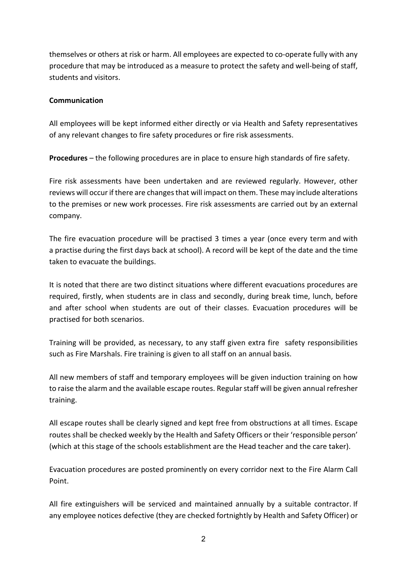themselves or others at risk or harm. All employees are expected to co-operate fully with any procedure that may be introduced as a measure to protect the safety and well-being of staff, students and visitors.

## **Communication**

All employees will be kept informed either directly or via Health and Safety representatives of any relevant changes to fire safety procedures or fire risk assessments.

**Procedures** – the following procedures are in place to ensure high standards of fire safety.

Fire risk assessments have been undertaken and are reviewed regularly. However, other reviews will occur if there are changes that will impact on them. These may include alterations to the premises or new work processes. Fire risk assessments are carried out by an external company.

The fire evacuation procedure will be practised 3 times a year (once every term and with a practise during the first days back at school). A record will be kept of the date and the time taken to evacuate the buildings.

It is noted that there are two distinct situations where different evacuations procedures are required, firstly, when students are in class and secondly, during break time, lunch, before and after school when students are out of their classes. Evacuation procedures will be practised for both scenarios.

Training will be provided, as necessary, to any staff given extra fire safety responsibilities such as Fire Marshals. Fire training is given to all staff on an annual basis.

All new members of staff and temporary employees will be given induction training on how to raise the alarm and the available escape routes. Regular staff will be given annual refresher training.

All escape routes shall be clearly signed and kept free from obstructions at all times. Escape routes shall be checked weekly by the Health and Safety Officers or their 'responsible person' (which at this stage of the schools establishment are the Head teacher and the care taker).

Evacuation procedures are posted prominently on every corridor next to the Fire Alarm Call Point.

All fire extinguishers will be serviced and maintained annually by a suitable contractor. If any employee notices defective (they are checked fortnightly by Health and Safety Officer) or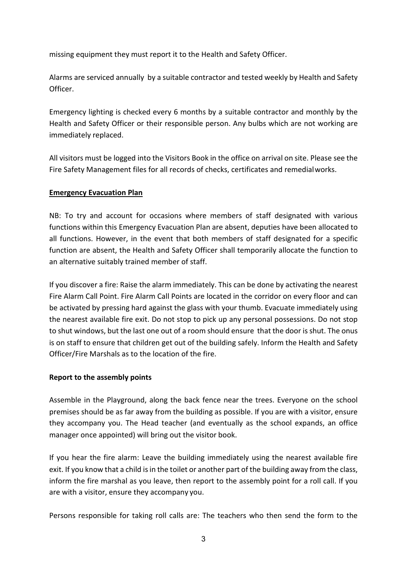missing equipment they must report it to the Health and Safety Officer.

Alarms are serviced annually by a suitable contractor and tested weekly by Health and Safety Officer.

Emergency lighting is checked every 6 months by a suitable contractor and monthly by the Health and Safety Officer or their responsible person. Any bulbs which are not working are immediately replaced.

All visitors must be logged into the Visitors Book in the office on arrival on site. Please see the Fire Safety Management files for all records of checks, certificates and remedialworks.

## **Emergency Evacuation Plan**

NB: To try and account for occasions where members of staff designated with various functions within this Emergency Evacuation Plan are absent, deputies have been allocated to all functions. However, in the event that both members of staff designated for a specific function are absent, the Health and Safety Officer shall temporarily allocate the function to an alternative suitably trained member of staff.

If you discover a fire: Raise the alarm immediately. This can be done by activating the nearest Fire Alarm Call Point. Fire Alarm Call Points are located in the corridor on every floor and can be activated by pressing hard against the glass with your thumb. Evacuate immediately using the nearest available fire exit. Do not stop to pick up any personal possessions. Do not stop to shut windows, but the last one out of a room should ensure that the door is shut. The onus is on staff to ensure that children get out of the building safely. Inform the Health and Safety Officer/Fire Marshals as to the location of the fire.

## **Report to the assembly points**

Assemble in the Playground, along the back fence near the trees. Everyone on the school premises should be as far away from the building as possible. If you are with a visitor, ensure they accompany you. The Head teacher (and eventually as the school expands, an office manager once appointed) will bring out the visitor book.

If you hear the fire alarm: Leave the building immediately using the nearest available fire exit. If you know that a child is in the toilet or another part of the building away from the class, inform the fire marshal as you leave, then report to the assembly point for a roll call. If you are with a visitor, ensure they accompany you.

Persons responsible for taking roll calls are: The teachers who then send the form to the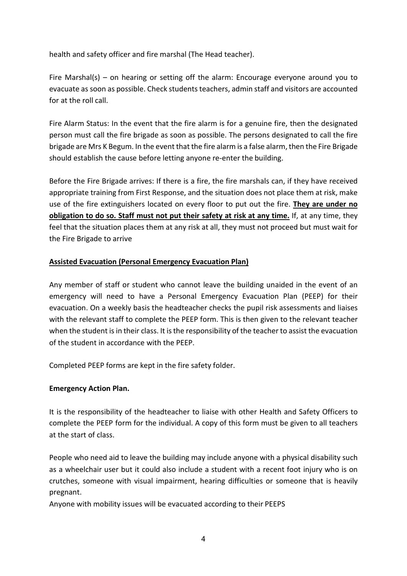health and safety officer and fire marshal (The Head teacher).

Fire Marshal(s) – on hearing or setting off the alarm: Encourage everyone around you to evacuate as soon as possible. Check students teachers, admin staff and visitors are accounted for at the roll call.

Fire Alarm Status: In the event that the fire alarm is for a genuine fire, then the designated person must call the fire brigade as soon as possible. The persons designated to call the fire brigade are Mrs K Begum. In the event that the fire alarm is a false alarm, then the Fire Brigade should establish the cause before letting anyone re-enter the building.

Before the Fire Brigade arrives: If there is a fire, the fire marshals can, if they have received appropriate training from First Response, and the situation does not place them at risk, make use of the fire extinguishers located on every floor to put out the fire. **They are under no obligation to do so. Staff must not put their safety at risk at any time.** If, at any time, they feel that the situation places them at any risk at all, they must not proceed but must wait for the Fire Brigade to arrive

## **Assisted Evacuation (Personal Emergency Evacuation Plan)**

Any member of staff or student who cannot leave the building unaided in the event of an emergency will need to have a Personal Emergency Evacuation Plan (PEEP) for their evacuation. On a weekly basis the headteacher checks the pupil risk assessments and liaises with the relevant staff to complete the PEEP form. This is then given to the relevant teacher when the student is in their class. It is the responsibility of the teacher to assist the evacuation of the student in accordance with the PEEP.

Completed PEEP forms are kept in the fire safety folder.

## **Emergency Action Plan.**

It is the responsibility of the headteacher to liaise with other Health and Safety Officers to complete the PEEP form for the individual. A copy of this form must be given to all teachers at the start of class.

People who need aid to leave the building may include anyone with a physical disability such as a wheelchair user but it could also include a student with a recent foot injury who is on crutches, someone with visual impairment, hearing difficulties or someone that is heavily pregnant.

Anyone with mobility issues will be evacuated according to their PEEPS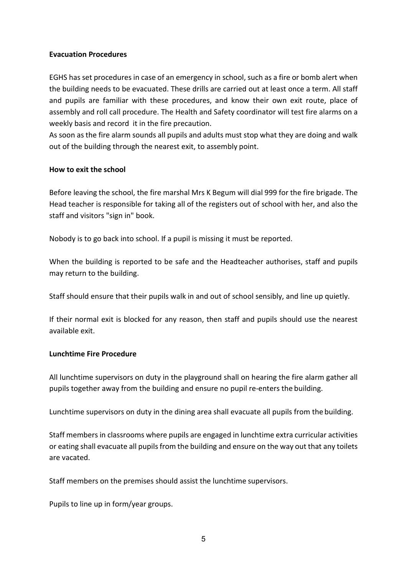#### **Evacuation Procedures**

EGHS has set procedures in case of an emergency in school, such as a fire or bomb alert when the building needs to be evacuated. These drills are carried out at least once a term. All staff and pupils are familiar with these procedures, and know their own exit route, place of assembly and roll call procedure. The Health and Safety coordinator will test fire alarms on a weekly basis and record it in the fire precaution.

As soon as the fire alarm sounds all pupils and adults must stop what they are doing and walk out of the building through the nearest exit, to assembly point.

### **How to exit the school**

Before leaving the school, the fire marshal Mrs K Begum will dial 999 for the fire brigade. The Head teacher is responsible for taking all of the registers out of school with her, and also the staff and visitors "sign in" book.

Nobody is to go back into school. If a pupil is missing it must be reported.

When the building is reported to be safe and the Headteacher authorises, staff and pupils may return to the building.

Staff should ensure that their pupils walk in and out of school sensibly, and line up quietly.

If their normal exit is blocked for any reason, then staff and pupils should use the nearest available exit.

#### **Lunchtime Fire Procedure**

All lunchtime supervisors on duty in the playground shall on hearing the fire alarm gather all pupils together away from the building and ensure no pupil re-enters the building.

Lunchtime supervisors on duty in the dining area shall evacuate all pupils from the building.

Staff members in classrooms where pupils are engaged in lunchtime extra curricular activities or eating shall evacuate all pupils from the building and ensure on the way out that any toilets are vacated.

Staff members on the premises should assist the lunchtime supervisors.

Pupils to line up in form/year groups.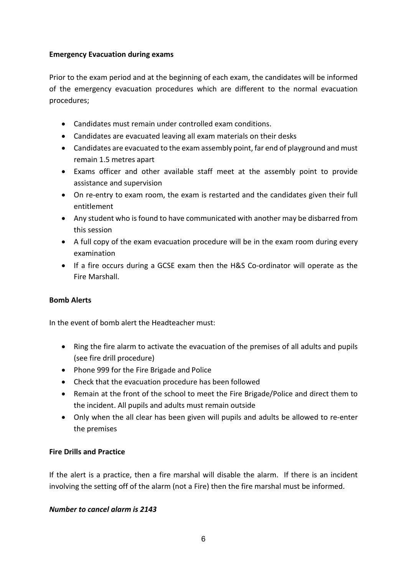## **Emergency Evacuation during exams**

Prior to the exam period and at the beginning of each exam, the candidates will be informed of the emergency evacuation procedures which are different to the normal evacuation procedures;

- Candidates must remain under controlled exam conditions.
- Candidates are evacuated leaving all exam materials on their desks
- Candidates are evacuated to the exam assembly point, far end of playground and must remain 1.5 metres apart
- Exams officer and other available staff meet at the assembly point to provide assistance and supervision
- On re-entry to exam room, the exam is restarted and the candidates given their full entitlement
- Any student who is found to have communicated with another may be disbarred from this session
- A full copy of the exam evacuation procedure will be in the exam room during every examination
- If a fire occurs during a GCSE exam then the H&S Co-ordinator will operate as the Fire Marshall.

# **Bomb Alerts**

In the event of bomb alert the Headteacher must:

- Ring the fire alarm to activate the evacuation of the premises of all adults and pupils (see fire drill procedure)
- Phone 999 for the Fire Brigade and Police
- Check that the evacuation procedure has been followed
- Remain at the front of the school to meet the Fire Brigade/Police and direct them to the incident. All pupils and adults must remain outside
- Only when the all clear has been given will pupils and adults be allowed to re-enter the premises

# **Fire Drills and Practice**

If the alert is a practice, then a fire marshal will disable the alarm. If there is an incident involving the setting off of the alarm (not a Fire) then the fire marshal must be informed.

## *Number to cancel alarm is 2143*